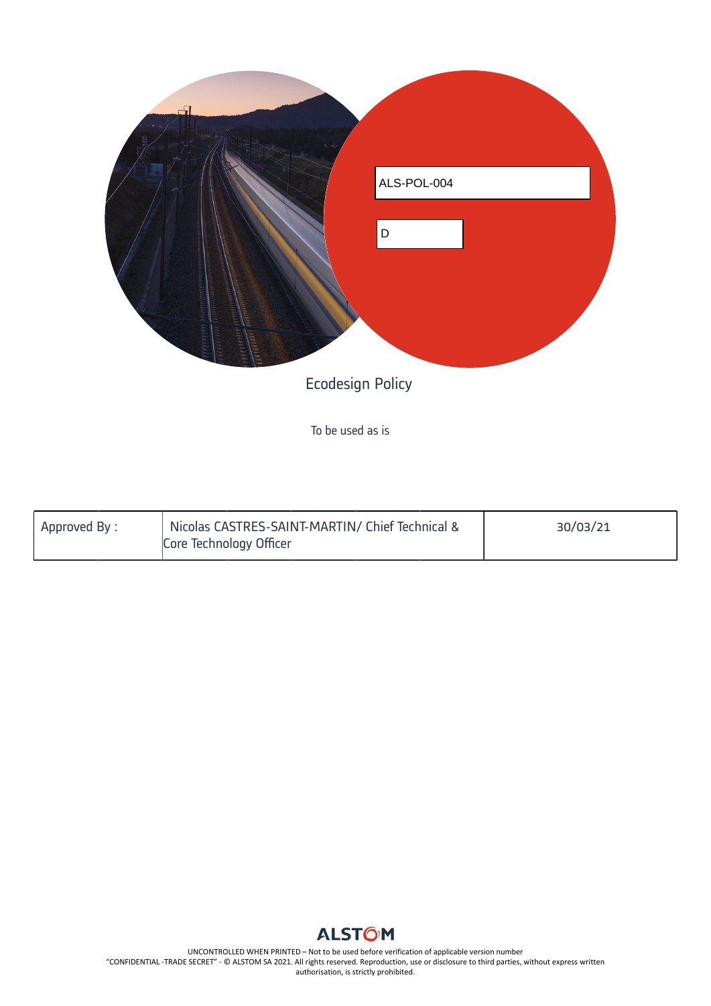

To be used as is

| Approved By: | Nicolas CASTRES-SAINT-MARTIN/ Chief Technical &<br>Core Technology Officer | 30/03/21 |
|--------------|----------------------------------------------------------------------------|----------|
|              |                                                                            |          |